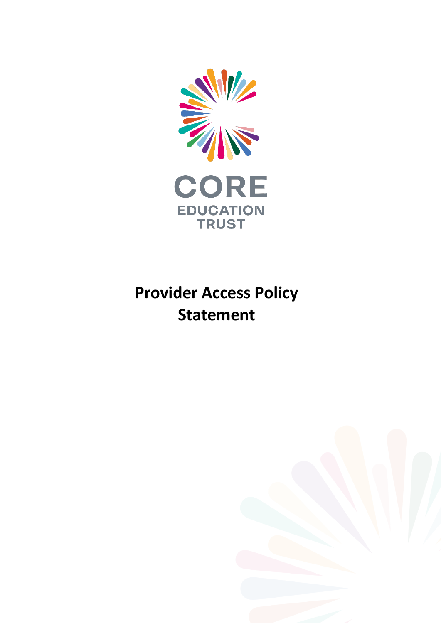

# **Provider Access Policy Statement**

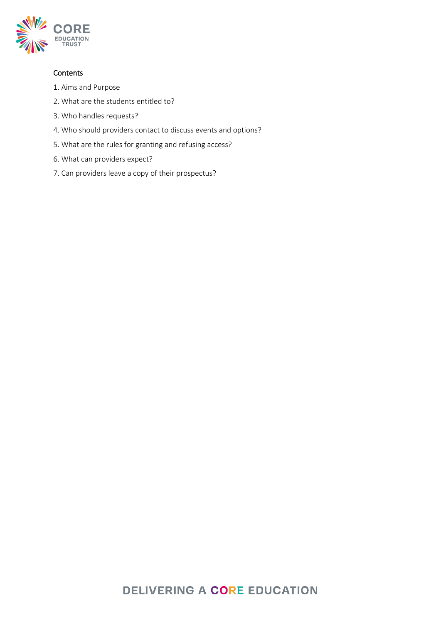

### **Contents**

- 1. Aims and Purpose
- 2. What are the students entitled to?
- 3. Who handles requests?
- 4. Who should providers contact to discuss events and options?
- 5. What are the rules for granting and refusing access?
- 6. What can providers expect?
- 7. Can providers leave a copy of their prospectus?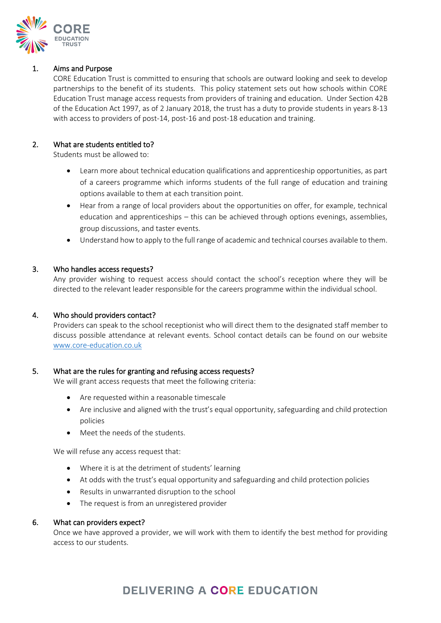

#### 1. Aims and Purpose

CORE Education Trust is committed to ensuring that schools are outward looking and seek to develop partnerships to the benefit of its students. This policy statement sets out how schools within CORE Education Trust manage access requests from providers of training and education. Under Section 42B of the Education Act 1997, as of 2 January 2018, the trust has a duty to provide students in years 8-13 with access to providers of post-14, post-16 and post-18 education and training.

#### 2. What are students entitled to?

Students must be allowed to:

- Learn more about technical education qualifications and apprenticeship opportunities, as part of a careers programme which informs students of the full range of education and training options available to them at each transition point.
- Hear from a range of local providers about the opportunities on offer, for example, technical education and apprenticeships – this can be achieved through options evenings, assemblies, group discussions, and taster events.
- Understand how to apply to the full range of academic and technical courses available to them.

#### 3. Who handles access requests?

Any provider wishing to request access should contact the school's reception where they will be directed to the relevant leader responsible for the careers programme within the individual school.

#### 4. Who should providers contact?

Providers can speak to the school receptionist who will direct them to the designated staff member to discuss possible attendance at relevant events. School contact details can be found on our website [www.core-education.co.uk](http://www.core-education.co.uk/)

#### 5. What are the rules for granting and refusing access requests?

We will grant access requests that meet the following criteria:

- Are requested within a reasonable timescale
- Are inclusive and aligned with the trust's equal opportunity, safeguarding and child protection policies
- Meet the needs of the students.

We will refuse any access request that:

- Where it is at the detriment of students' learning
- At odds with the trust's equal opportunity and safeguarding and child protection policies
- Results in unwarranted disruption to the school
- The request is from an unregistered provider

#### 6. What can providers expect?

Once we have approved a provider, we will work with them to identify the best method for providing access to our students.

## **DELIVERING A CORE EDUCATION**